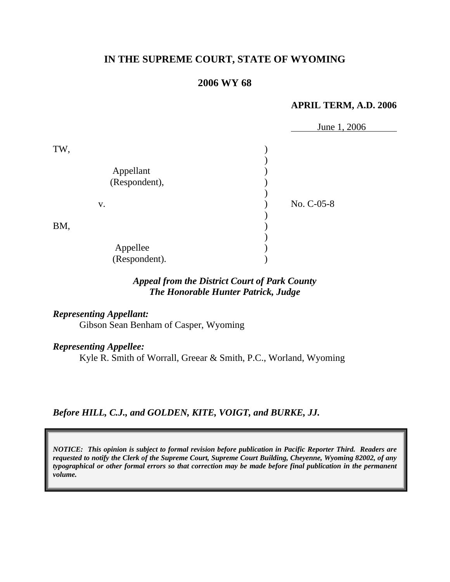## **IN THE SUPREME COURT, STATE OF WYOMING**

### **2006 WY 68**

#### **APRIL TERM, A.D. 2006**

|                                   | June 1, 2006 |
|-----------------------------------|--------------|
| TW,<br>Appellant<br>(Respondent), |              |
| V.                                | No. C-05-8   |
| BM,                               |              |
| Appellee<br>(Respondent).         |              |

### *Appeal from the District Court of Park County The Honorable Hunter Patrick, Judge*

*Representing Appellant:* 

Gibson Sean Benham of Casper, Wyoming

*Representing Appellee:*

Kyle R. Smith of Worrall, Greear & Smith, P.C., Worland, Wyoming

*Before HILL, C.J., and GOLDEN, KITE, VOIGT, and BURKE, JJ.* 

*NOTICE: This opinion is subject to formal revision before publication in Pacific Reporter Third. Readers are requested to notify the Clerk of the Supreme Court, Supreme Court Building, Cheyenne, Wyoming 82002, of any typographical or other formal errors so that correction may be made before final publication in the permanent volume.*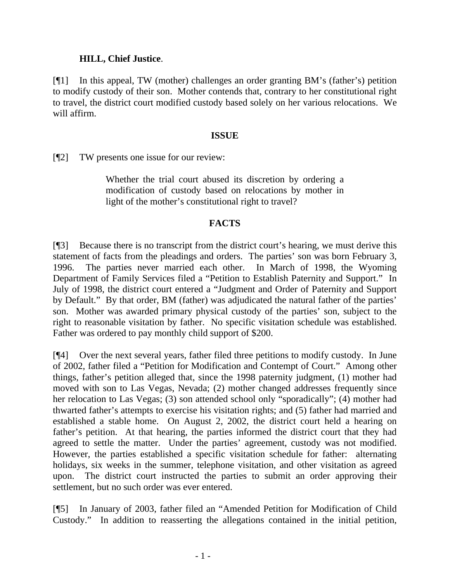### **HILL, Chief Justice**.

[¶1] In this appeal, TW (mother) challenges an order granting BM's (father's) petition to modify custody of their son. Mother contends that, contrary to her constitutional right to travel, the district court modified custody based solely on her various relocations. We will affirm.

#### **ISSUE**

[¶2] TW presents one issue for our review:

Whether the trial court abused its discretion by ordering a modification of custody based on relocations by mother in light of the mother's constitutional right to travel?

### **FACTS**

[¶3] Because there is no transcript from the district court's hearing, we must derive this statement of facts from the pleadings and orders. The parties' son was born February 3, 1996. The parties never married each other. In March of 1998, the Wyoming Department of Family Services filed a "Petition to Establish Paternity and Support." In July of 1998, the district court entered a "Judgment and Order of Paternity and Support by Default." By that order, BM (father) was adjudicated the natural father of the parties' son. Mother was awarded primary physical custody of the parties' son, subject to the right to reasonable visitation by father. No specific visitation schedule was established. Father was ordered to pay monthly child support of \$200.

[¶4] Over the next several years, father filed three petitions to modify custody. In June of 2002, father filed a "Petition for Modification and Contempt of Court." Among other things, father's petition alleged that, since the 1998 paternity judgment, (1) mother had moved with son to Las Vegas, Nevada; (2) mother changed addresses frequently since her relocation to Las Vegas; (3) son attended school only "sporadically"; (4) mother had thwarted father's attempts to exercise his visitation rights; and (5) father had married and established a stable home. On August 2, 2002, the district court held a hearing on father's petition. At that hearing, the parties informed the district court that they had agreed to settle the matter. Under the parties' agreement, custody was not modified. However, the parties established a specific visitation schedule for father: alternating holidays, six weeks in the summer, telephone visitation, and other visitation as agreed upon. The district court instructed the parties to submit an order approving their settlement, but no such order was ever entered.

[¶5] In January of 2003, father filed an "Amended Petition for Modification of Child Custody." In addition to reasserting the allegations contained in the initial petition,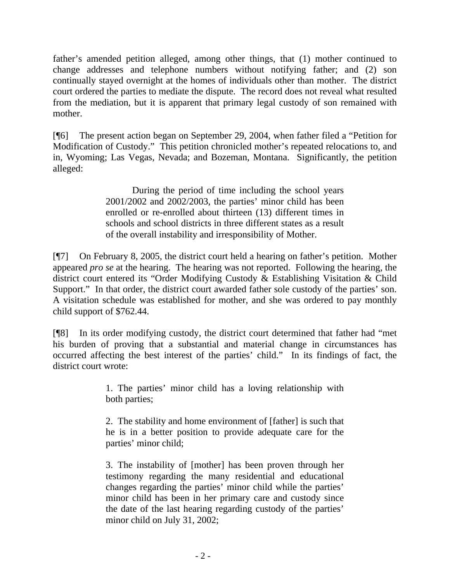father's amended petition alleged, among other things, that (1) mother continued to change addresses and telephone numbers without notifying father; and (2) son continually stayed overnight at the homes of individuals other than mother. The district court ordered the parties to mediate the dispute. The record does not reveal what resulted from the mediation, but it is apparent that primary legal custody of son remained with mother.

[¶6] The present action began on September 29, 2004, when father filed a "Petition for Modification of Custody." This petition chronicled mother's repeated relocations to, and in, Wyoming; Las Vegas, Nevada; and Bozeman, Montana. Significantly, the petition alleged:

> During the period of time including the school years 2001/2002 and 2002/2003, the parties' minor child has been enrolled or re-enrolled about thirteen (13) different times in schools and school districts in three different states as a result of the overall instability and irresponsibility of Mother.

[¶7] On February 8, 2005, the district court held a hearing on father's petition. Mother appeared *pro se* at the hearing. The hearing was not reported. Following the hearing, the district court entered its "Order Modifying Custody & Establishing Visitation & Child Support." In that order, the district court awarded father sole custody of the parties' son. A visitation schedule was established for mother, and she was ordered to pay monthly child support of \$762.44.

[¶8] In its order modifying custody, the district court determined that father had "met his burden of proving that a substantial and material change in circumstances has occurred affecting the best interest of the parties' child." In its findings of fact, the district court wrote:

> 1. The parties' minor child has a loving relationship with both parties;

> 2. The stability and home environment of [father] is such that he is in a better position to provide adequate care for the parties' minor child;

> 3. The instability of [mother] has been proven through her testimony regarding the many residential and educational changes regarding the parties' minor child while the parties' minor child has been in her primary care and custody since the date of the last hearing regarding custody of the parties' minor child on July 31, 2002;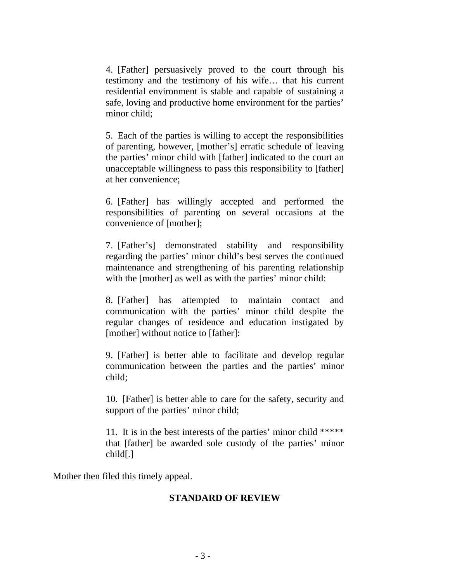4. [Father] persuasively proved to the court through his testimony and the testimony of his wife… that his current residential environment is stable and capable of sustaining a safe, loving and productive home environment for the parties' minor child;

5. Each of the parties is willing to accept the responsibilities of parenting, however, [mother's] erratic schedule of leaving the parties' minor child with [father] indicated to the court an unacceptable willingness to pass this responsibility to [father] at her convenience;

6. [Father] has willingly accepted and performed the responsibilities of parenting on several occasions at the convenience of [mother];

7. [Father's] demonstrated stability and responsibility regarding the parties' minor child's best serves the continued maintenance and strengthening of his parenting relationship with the [mother] as well as with the parties' minor child:

8. [Father] has attempted to maintain contact and communication with the parties' minor child despite the regular changes of residence and education instigated by [mother] without notice to [father]:

9. [Father] is better able to facilitate and develop regular communication between the parties and the parties' minor child;

10. [Father] is better able to care for the safety, security and support of the parties' minor child;

11. It is in the best interests of the parties' minor child \*\*\*\*\* that [father] be awarded sole custody of the parties' minor child[.]

Mother then filed this timely appeal.

### **STANDARD OF REVIEW**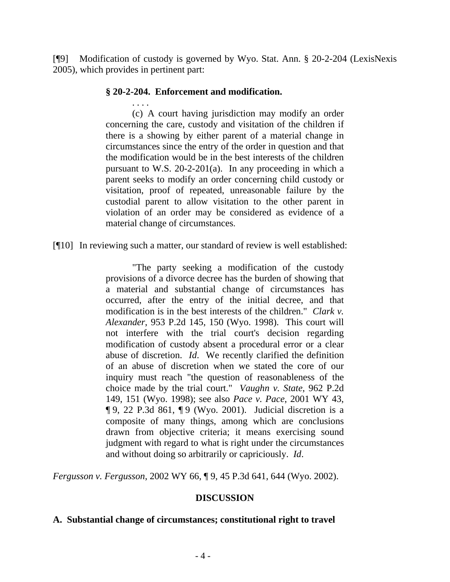[¶9] Modification of custody is governed by Wyo. Stat. Ann. § 20-2-204 (LexisNexis 2005), which provides in pertinent part:

### **§ 20-2-204. Enforcement and modification.**

. . . . (c) A court having jurisdiction may modify an order concerning the care, custody and visitation of the children if there is a showing by either parent of a material change in circumstances since the entry of the order in question and that the modification would be in the best interests of the children pursuant to W.S. 20-2-201(a). In any proceeding in which a parent seeks to modify an order concerning child custody or visitation, proof of repeated, unreasonable failure by the custodial parent to allow visitation to the other parent in violation of an order may be considered as evidence of a material change of circumstances.

### [¶10] In reviewing such a matter, our standard of review is well established:

"The party seeking a modification of the custody provisions of a divorce decree has the burden of showing that a material and substantial change of circumstances has occurred, after the entry of the initial decree, and that modification is in the best interests of the children." *Clark v. Alexander*, 953 P.2d 145, 150 (Wyo. 1998). This court will not interfere with the trial court's decision regarding modification of custody absent a procedural error or a clear abuse of discretion. *Id*. We recently clarified the definition of an abuse of discretion when we stated the core of our inquiry must reach "the question of reasonableness of the choice made by the trial court." *Vaughn v. State*, 962 P.2d 149, 151 (Wyo. 1998); see also *Pace v. Pace*, 2001 WY 43, ¶ 9, 22 P.3d 861, ¶ 9 (Wyo. 2001). Judicial discretion is a composite of many things, among which are conclusions drawn from objective criteria; it means exercising sound judgment with regard to what is right under the circumstances and without doing so arbitrarily or capriciously. *Id*.

*Fergusson v. Fergusson*, 2002 WY 66, ¶ 9, 45 P.3d 641, 644 (Wyo. 2002).

#### **DISCUSSION**

#### **A. Substantial change of circumstances; constitutional right to travel**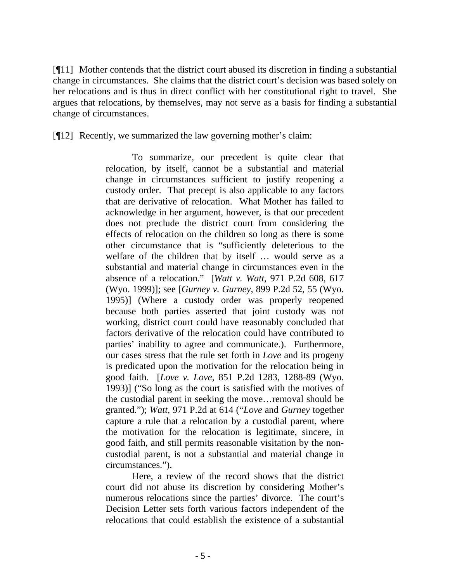[¶11] Mother contends that the district court abused its discretion in finding a substantial change in circumstances. She claims that the district court's decision was based solely on her relocations and is thus in direct conflict with her constitutional right to travel. She argues that relocations, by themselves, may not serve as a basis for finding a substantial change of circumstances.

[¶12] Recently, we summarized the law governing mother's claim:

To summarize, our precedent is quite clear that relocation, by itself, cannot be a substantial and material change in circumstances sufficient to justify reopening a custody order. That precept is also applicable to any factors that are derivative of relocation. What Mother has failed to acknowledge in her argument, however, is that our precedent does not preclude the district court from considering the effects of relocation on the children so long as there is some other circumstance that is "sufficiently deleterious to the welfare of the children that by itself … would serve as a substantial and material change in circumstances even in the absence of a relocation." [*Watt v. Watt*, 971 P.2d 608, 617 (Wyo. 1999)]; see [*Gurney v. Gurney*, 899 P.2d 52, 55 (Wyo. 1995)] (Where a custody order was properly reopened because both parties asserted that joint custody was not working, district court could have reasonably concluded that factors derivative of the relocation could have contributed to parties' inability to agree and communicate.). Furthermore, our cases stress that the rule set forth in *Love* and its progeny is predicated upon the motivation for the relocation being in good faith. [*Love v. Love*, 851 P.2d 1283, 1288-89 (Wyo. 1993)] ("So long as the court is satisfied with the motives of the custodial parent in seeking the move…removal should be granted."); *Watt*, 971 P.2d at 614 ("*Love* and *Gurney* together capture a rule that a relocation by a custodial parent, where the motivation for the relocation is legitimate, sincere, in good faith, and still permits reasonable visitation by the noncustodial parent, is not a substantial and material change in circumstances.").

Here, a review of the record shows that the district court did not abuse its discretion by considering Mother's numerous relocations since the parties' divorce. The court's Decision Letter sets forth various factors independent of the relocations that could establish the existence of a substantial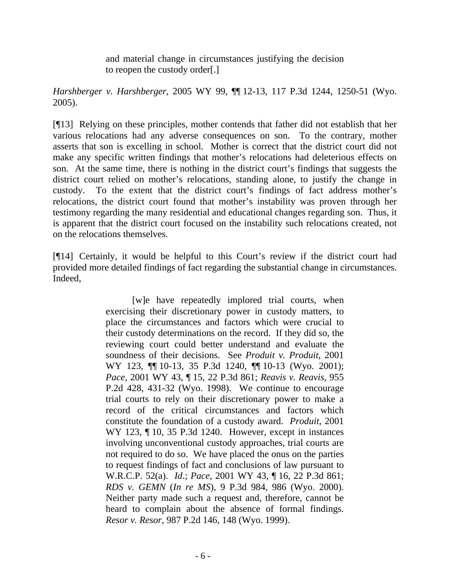and material change in circumstances justifying the decision to reopen the custody order[.]

*Harshberger v. Harshberger*, 2005 WY 99, ¶¶ 12-13, 117 P.3d 1244, 1250-51 (Wyo. 2005).

[¶13] Relying on these principles, mother contends that father did not establish that her various relocations had any adverse consequences on son. To the contrary, mother asserts that son is excelling in school. Mother is correct that the district court did not make any specific written findings that mother's relocations had deleterious effects on son. At the same time, there is nothing in the district court's findings that suggests the district court relied on mother's relocations, standing alone, to justify the change in custody. To the extent that the district court's findings of fact address mother's relocations, the district court found that mother's instability was proven through her testimony regarding the many residential and educational changes regarding son. Thus, it is apparent that the district court focused on the instability such relocations created, not on the relocations themselves.

[¶14] Certainly, it would be helpful to this Court's review if the district court had provided more detailed findings of fact regarding the substantial change in circumstances. Indeed,

> [w]e have repeatedly implored trial courts, when exercising their discretionary power in custody matters, to place the circumstances and factors which were crucial to their custody determinations on the record. If they did so, the reviewing court could better understand and evaluate the soundness of their decisions. See *Produit v. Produit*, 2001 WY 123,  $\P$ [10-13, 35 P.3d 1240,  $\P$ [10-13 (Wyo. 2001); *Pace*, 2001 WY 43, ¶ 15, 22 P.3d 861; *Reavis v. Reavis*, 955 P.2d 428, 431-32 (Wyo. 1998). We continue to encourage trial courts to rely on their discretionary power to make a record of the critical circumstances and factors which constitute the foundation of a custody award. *Produit*, 2001 WY 123, ¶ 10, 35 P.3d 1240. However, except in instances involving unconventional custody approaches, trial courts are not required to do so. We have placed the onus on the parties to request findings of fact and conclusions of law pursuant to W.R.C.P. 52(a). *Id*.; *Pace*, 2001 WY 43, ¶ 16, 22 P.3d 861; *RDS v. GEMN* (*In re MS*), 9 P.3d 984, 986 (Wyo. 2000). Neither party made such a request and, therefore, cannot be heard to complain about the absence of formal findings. *Resor v. Resor*, 987 P.2d 146, 148 (Wyo. 1999).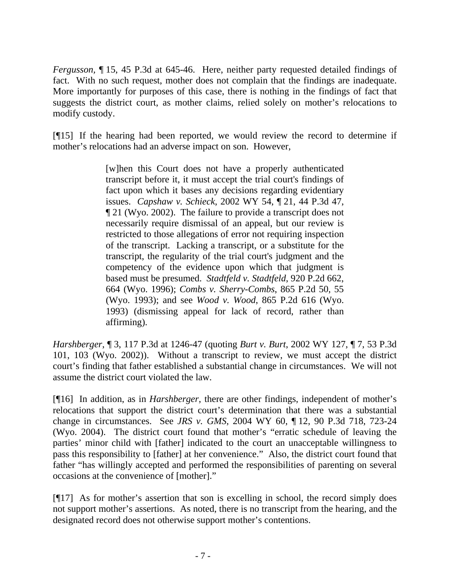*Fergusson,* ¶ 15, 45 P.3d at 645-46. Here, neither party requested detailed findings of fact. With no such request, mother does not complain that the findings are inadequate. More importantly for purposes of this case, there is nothing in the findings of fact that suggests the district court, as mother claims, relied solely on mother's relocations to modify custody.

[¶15] If the hearing had been reported, we would review the record to determine if mother's relocations had an adverse impact on son. However,

> [w]hen this Court does not have a properly authenticated transcript before it, it must accept the trial court's findings of fact upon which it bases any decisions regarding evidentiary issues. *Capshaw v. Schieck*, 2002 WY 54, ¶ 21, 44 P.3d 47, ¶ 21 (Wyo. 2002). The failure to provide a transcript does not necessarily require dismissal of an appeal, but our review is restricted to those allegations of error not requiring inspection of the transcript. Lacking a transcript, or a substitute for the transcript, the regularity of the trial court's judgment and the competency of the evidence upon which that judgment is based must be presumed. *Stadtfeld v. Stadtfeld*, 920 P.2d 662, 664 (Wyo. 1996); *Combs v. Sherry-Combs*, 865 P.2d 50, 55 (Wyo. 1993); and see *Wood v. Wood*, 865 P.2d 616 (Wyo. 1993) (dismissing appeal for lack of record, rather than affirming).

*Harshberger*, ¶ 3, 117 P.3d at 1246-47 (quoting *Burt v. Burt*, 2002 WY 127, ¶ 7, 53 P.3d 101, 103 (Wyo. 2002)). Without a transcript to review, we must accept the district court's finding that father established a substantial change in circumstances. We will not assume the district court violated the law.

[¶16] In addition, as in *Harshberger*, there are other findings, independent of mother's relocations that support the district court's determination that there was a substantial change in circumstances. See *JRS v. GMS*, 2004 WY 60, ¶ 12, 90 P.3d 718, 723-24 (Wyo. 2004). The district court found that mother's "erratic schedule of leaving the parties' minor child with [father] indicated to the court an unacceptable willingness to pass this responsibility to [father] at her convenience." Also, the district court found that father "has willingly accepted and performed the responsibilities of parenting on several occasions at the convenience of [mother]."

[¶17] As for mother's assertion that son is excelling in school, the record simply does not support mother's assertions. As noted, there is no transcript from the hearing, and the designated record does not otherwise support mother's contentions.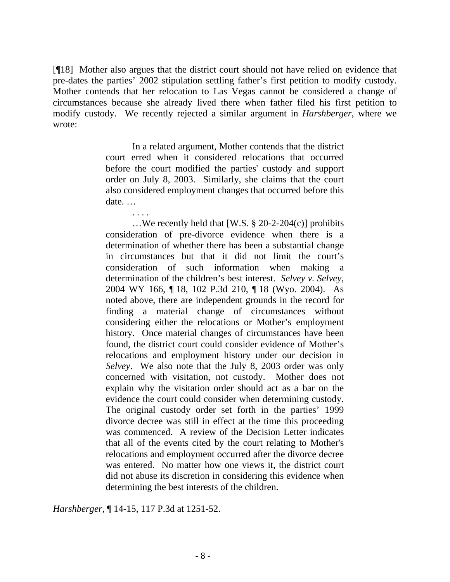[¶18] Mother also argues that the district court should not have relied on evidence that pre-dates the parties' 2002 stipulation settling father's first petition to modify custody. Mother contends that her relocation to Las Vegas cannot be considered a change of circumstances because she already lived there when father filed his first petition to modify custody. We recently rejected a similar argument in *Harshberger*, where we wrote:

> In a related argument, Mother contends that the district court erred when it considered relocations that occurred before the court modified the parties' custody and support order on July 8, 2003. Similarly, she claims that the court also considered employment changes that occurred before this date. …

> …We recently held that [W.S. § 20-2-204(c)] prohibits consideration of pre-divorce evidence when there is a determination of whether there has been a substantial change in circumstances but that it did not limit the court's consideration of such information when making a determination of the children's best interest. *Selvey v. Selvey*, 2004 WY 166, ¶ 18, 102 P.3d 210, ¶ 18 (Wyo. 2004). As noted above, there are independent grounds in the record for finding a material change of circumstances without considering either the relocations or Mother's employment history. Once material changes of circumstances have been found, the district court could consider evidence of Mother's relocations and employment history under our decision in *Selvey*. We also note that the July 8, 2003 order was only concerned with visitation, not custody. Mother does not explain why the visitation order should act as a bar on the evidence the court could consider when determining custody. The original custody order set forth in the parties' 1999 divorce decree was still in effect at the time this proceeding was commenced. A review of the Decision Letter indicates that all of the events cited by the court relating to Mother's relocations and employment occurred after the divorce decree was entered. No matter how one views it, the district court did not abuse its discretion in considering this evidence when determining the best interests of the children.

*Harshberger*, ¶ 14-15, 117 P.3d at 1251-52.

. . . .